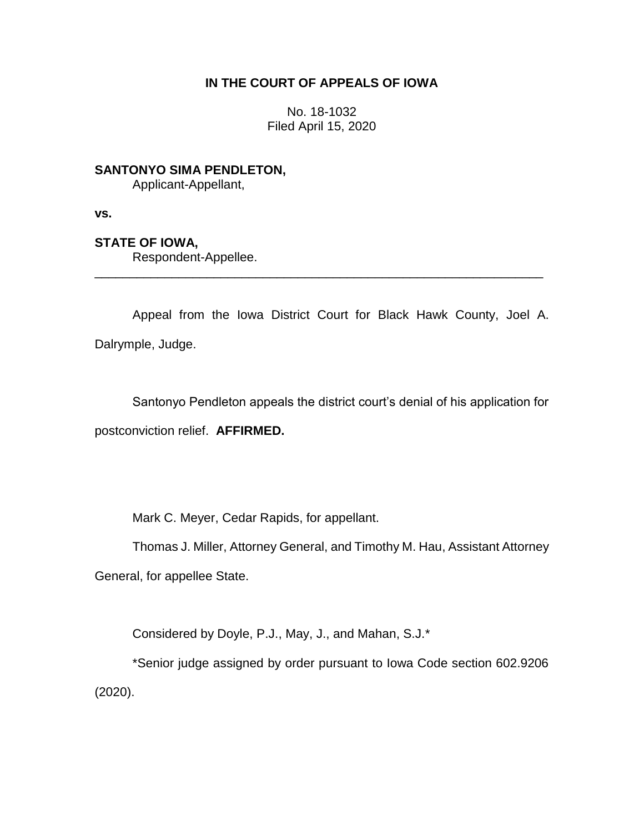# **IN THE COURT OF APPEALS OF IOWA**

No. 18-1032 Filed April 15, 2020

**SANTONYO SIMA PENDLETON,**

Applicant-Appellant,

**vs.**

# **STATE OF IOWA,**

Respondent-Appellee.

Appeal from the Iowa District Court for Black Hawk County, Joel A. Dalrymple, Judge.

\_\_\_\_\_\_\_\_\_\_\_\_\_\_\_\_\_\_\_\_\_\_\_\_\_\_\_\_\_\_\_\_\_\_\_\_\_\_\_\_\_\_\_\_\_\_\_\_\_\_\_\_\_\_\_\_\_\_\_\_\_\_\_\_

Santonyo Pendleton appeals the district court's denial of his application for postconviction relief. **AFFIRMED.**

Mark C. Meyer, Cedar Rapids, for appellant.

Thomas J. Miller, Attorney General, and Timothy M. Hau, Assistant Attorney

General, for appellee State.

Considered by Doyle, P.J., May, J., and Mahan, S.J.\*

\*Senior judge assigned by order pursuant to Iowa Code section 602.9206 (2020).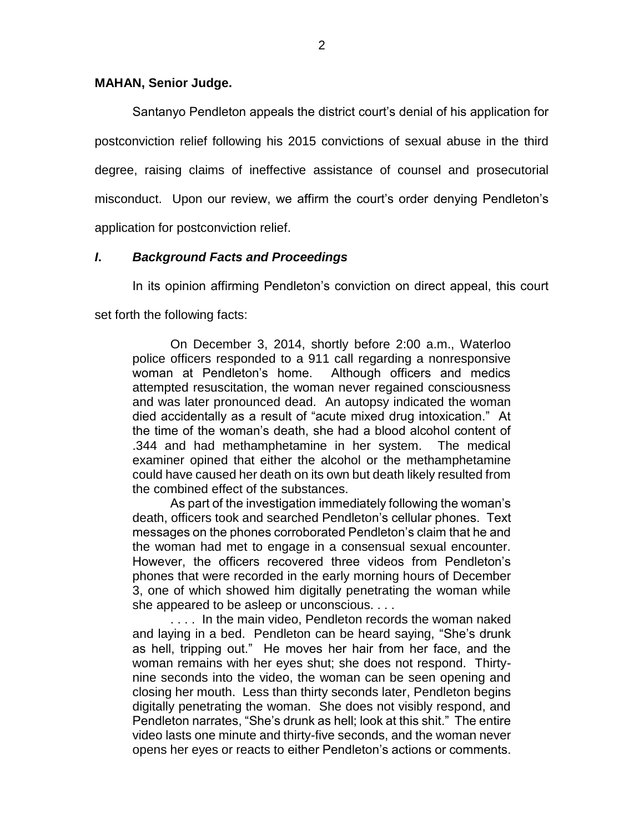### **MAHAN, Senior Judge.**

Santanyo Pendleton appeals the district court's denial of his application for postconviction relief following his 2015 convictions of sexual abuse in the third degree, raising claims of ineffective assistance of counsel and prosecutorial misconduct. Upon our review, we affirm the court's order denying Pendleton's application for postconviction relief.

### *I***.** *Background Facts and Proceedings*

In its opinion affirming Pendleton's conviction on direct appeal, this court

set forth the following facts:

On December 3, 2014, shortly before 2:00 a.m., Waterloo police officers responded to a 911 call regarding a nonresponsive woman at Pendleton's home. Although officers and medics attempted resuscitation, the woman never regained consciousness and was later pronounced dead. An autopsy indicated the woman died accidentally as a result of "acute mixed drug intoxication." At the time of the woman's death, she had a blood alcohol content of .344 and had methamphetamine in her system. The medical examiner opined that either the alcohol or the methamphetamine could have caused her death on its own but death likely resulted from the combined effect of the substances.

As part of the investigation immediately following the woman's death, officers took and searched Pendleton's cellular phones. Text messages on the phones corroborated Pendleton's claim that he and the woman had met to engage in a consensual sexual encounter. However, the officers recovered three videos from Pendleton's phones that were recorded in the early morning hours of December 3, one of which showed him digitally penetrating the woman while she appeared to be asleep or unconscious. . . .

. . . . In the main video, Pendleton records the woman naked and laying in a bed. Pendleton can be heard saying, "She's drunk as hell, tripping out." He moves her hair from her face, and the woman remains with her eyes shut; she does not respond. Thirtynine seconds into the video, the woman can be seen opening and closing her mouth. Less than thirty seconds later, Pendleton begins digitally penetrating the woman. She does not visibly respond, and Pendleton narrates, "She's drunk as hell; look at this shit." The entire video lasts one minute and thirty-five seconds, and the woman never opens her eyes or reacts to either Pendleton's actions or comments.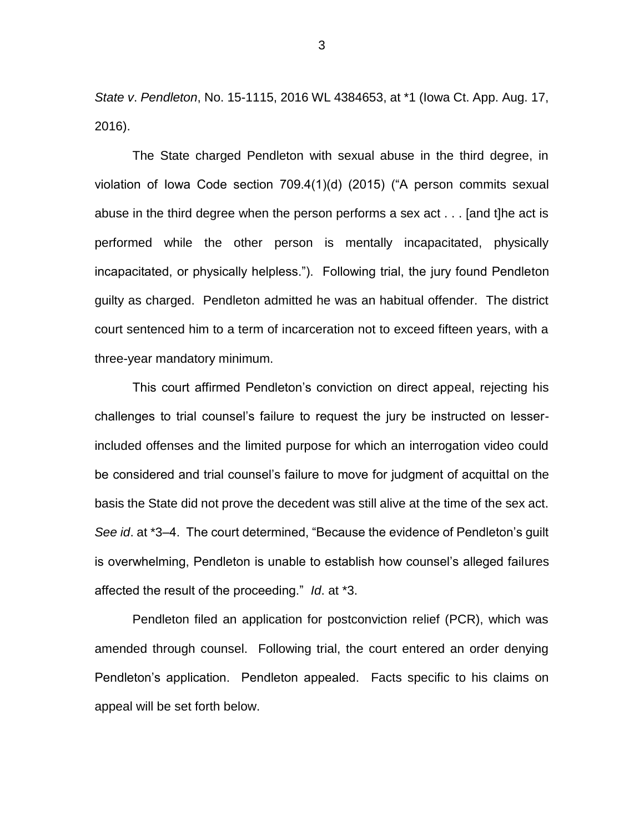*State v*. *Pendleton*, No. 15-1115, 2016 WL 4384653, at \*1 (Iowa Ct. App. Aug. 17, 2016).

The State charged Pendleton with sexual abuse in the third degree, in violation of Iowa Code section 709.4(1)(d) (2015) ("A person commits sexual abuse in the third degree when the person performs a sex act . . . [and t]he act is performed while the other person is mentally incapacitated, physically incapacitated, or physically helpless."). Following trial, the jury found Pendleton guilty as charged. Pendleton admitted he was an habitual offender. The district court sentenced him to a term of incarceration not to exceed fifteen years, with a three-year mandatory minimum.

This court affirmed Pendleton's conviction on direct appeal, rejecting his challenges to trial counsel's failure to request the jury be instructed on lesserincluded offenses and the limited purpose for which an interrogation video could be considered and trial counsel's failure to move for judgment of acquittal on the basis the State did not prove the decedent was still alive at the time of the sex act. *See id*. at \*3–4. The court determined, "Because the evidence of Pendleton's guilt is overwhelming, Pendleton is unable to establish how counsel's alleged failures affected the result of the proceeding." *Id*. at \*3.

Pendleton filed an application for postconviction relief (PCR), which was amended through counsel. Following trial, the court entered an order denying Pendleton's application. Pendleton appealed. Facts specific to his claims on appeal will be set forth below.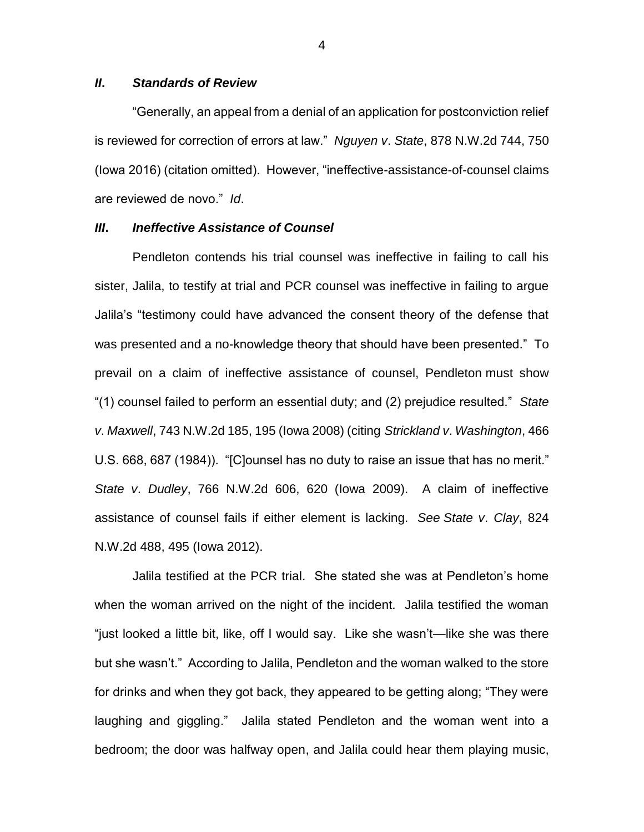### *II***.** *Standards of Review*

"Generally, an appeal from a denial of an application for postconviction relief is reviewed for correction of errors at law." *Nguyen v*. *State*, 878 N.W.2d 744, 750 (Iowa 2016) (citation omitted). However, "ineffective-assistance-of-counsel claims are reviewed de novo." *Id*.

#### *III***.** *Ineffective Assistance of Counsel*

Pendleton contends his trial counsel was ineffective in failing to call his sister, Jalila, to testify at trial and PCR counsel was ineffective in failing to argue Jalila's "testimony could have advanced the consent theory of the defense that was presented and a no-knowledge theory that should have been presented." To prevail on a claim of ineffective assistance of counsel, Pendleton must show "(1) counsel failed to perform an essential duty; and (2) prejudice resulted." *State v*. *Maxwell*, 743 N.W.2d 185, 195 (Iowa 2008) (citing *Strickland v*. *Washington*, 466 U.S. 668, 687 (1984)). "[C]ounsel has no duty to raise an issue that has no merit." *State v*. *Dudley*, 766 N.W.2d 606, 620 (Iowa 2009). A claim of ineffective assistance of counsel fails if either element is lacking. *See State v*. *Clay*, 824 N.W.2d 488, 495 (Iowa 2012).

Jalila testified at the PCR trial. She stated she was at Pendleton's home when the woman arrived on the night of the incident. Jalila testified the woman "just looked a little bit, like, off I would say. Like she wasn't—like she was there but she wasn't." According to Jalila, Pendleton and the woman walked to the store for drinks and when they got back, they appeared to be getting along; "They were laughing and giggling." Jalila stated Pendleton and the woman went into a bedroom; the door was halfway open, and Jalila could hear them playing music,

4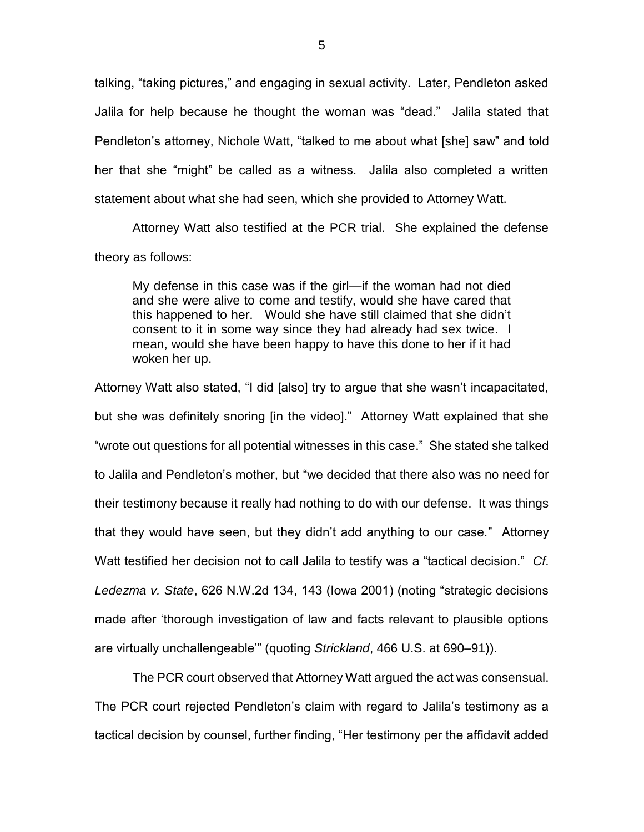talking, "taking pictures," and engaging in sexual activity. Later, Pendleton asked Jalila for help because he thought the woman was "dead." Jalila stated that Pendleton's attorney, Nichole Watt, "talked to me about what [she] saw" and told her that she "might" be called as a witness. Jalila also completed a written statement about what she had seen, which she provided to Attorney Watt.

Attorney Watt also testified at the PCR trial. She explained the defense theory as follows:

My defense in this case was if the girl—if the woman had not died and she were alive to come and testify, would she have cared that this happened to her. Would she have still claimed that she didn't consent to it in some way since they had already had sex twice. I mean, would she have been happy to have this done to her if it had woken her up.

Attorney Watt also stated, "I did [also] try to argue that she wasn't incapacitated, but she was definitely snoring [in the video]." Attorney Watt explained that she "wrote out questions for all potential witnesses in this case." She stated she talked to Jalila and Pendleton's mother, but "we decided that there also was no need for their testimony because it really had nothing to do with our defense. It was things that they would have seen, but they didn't add anything to our case." Attorney Watt testified her decision not to call Jalila to testify was a "tactical decision." *Cf*. *Ledezma v. State*, 626 N.W.2d 134, 143 (Iowa 2001) (noting "strategic decisions made after 'thorough investigation of law and facts relevant to plausible options are virtually unchallengeable'" (quoting *Strickland*, 466 U.S. at 690–91)).

The PCR court observed that Attorney Watt argued the act was consensual. The PCR court rejected Pendleton's claim with regard to Jalila's testimony as a tactical decision by counsel, further finding, "Her testimony per the affidavit added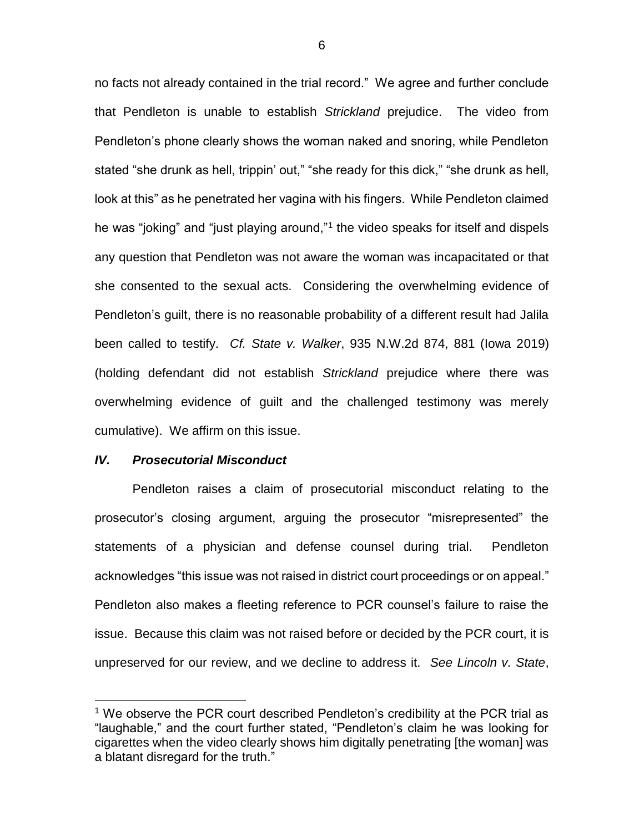no facts not already contained in the trial record." We agree and further conclude that Pendleton is unable to establish *Strickland* prejudice. The video from Pendleton's phone clearly shows the woman naked and snoring, while Pendleton stated "she drunk as hell, trippin' out," "she ready for this dick," "she drunk as hell, look at this" as he penetrated her vagina with his fingers. While Pendleton claimed he was "joking" and "just playing around,"<sup>1</sup> the video speaks for itself and dispels any question that Pendleton was not aware the woman was incapacitated or that she consented to the sexual acts. Considering the overwhelming evidence of Pendleton's guilt, there is no reasonable probability of a different result had Jalila been called to testify. *Cf. State v. Walker*, 935 N.W.2d 874, 881 (Iowa 2019) (holding defendant did not establish *Strickland* prejudice where there was overwhelming evidence of guilt and the challenged testimony was merely cumulative). We affirm on this issue.

#### *IV. Prosecutorial Misconduct*

 $\overline{a}$ 

Pendleton raises a claim of prosecutorial misconduct relating to the prosecutor's closing argument, arguing the prosecutor "misrepresented" the statements of a physician and defense counsel during trial. Pendleton acknowledges "this issue was not raised in district court proceedings or on appeal." Pendleton also makes a fleeting reference to PCR counsel's failure to raise the issue. Because this claim was not raised before or decided by the PCR court, it is unpreserved for our review, and we decline to address it. *See Lincoln v. State*,

<sup>&</sup>lt;sup>1</sup> We observe the PCR court described Pendleton's credibility at the PCR trial as "laughable," and the court further stated, "Pendleton's claim he was looking for cigarettes when the video clearly shows him digitally penetrating [the woman] was a blatant disregard for the truth."